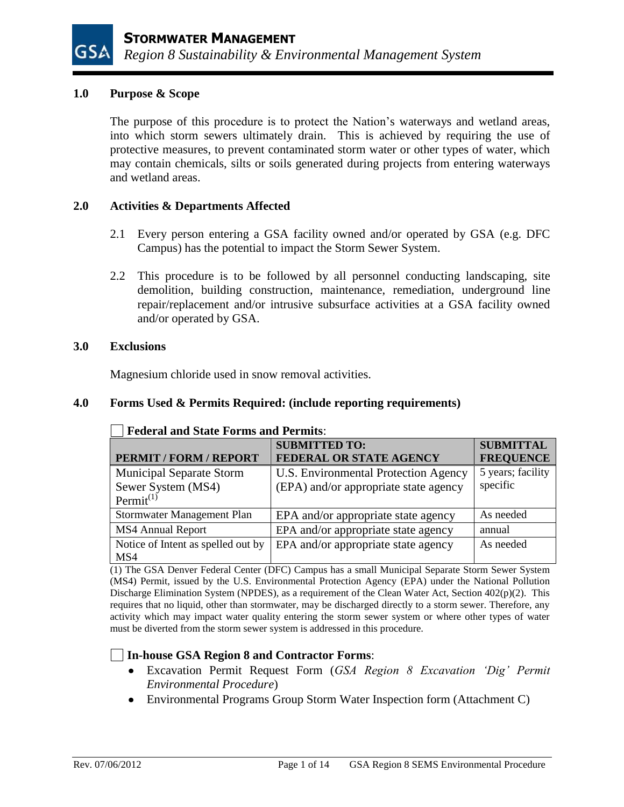### **1.0 Purpose & Scope**

The purpose of this procedure is to protect the Nation's waterways and wetland areas, into which storm sewers ultimately drain. This is achieved by requiring the use of protective measures, to prevent contaminated storm water or other types of water, which may contain chemicals, silts or soils generated during projects from entering waterways and wetland areas.

## **2.0 Activities & Departments Affected**

- 2.1 Every person entering a GSA facility owned and/or operated by GSA (e.g. DFC Campus) has the potential to impact the Storm Sewer System.
- 2.2 This procedure is to be followed by all personnel conducting landscaping, site demolition, building construction, maintenance, remediation, underground line repair/replacement and/or intrusive subsurface activities at a GSA facility owned and/or operated by GSA.

#### **3.0 Exclusions**

Magnesium chloride used in snow removal activities.

## **4.0 Forms Used & Permits Required: (include reporting requirements)**

|                                    | <b>SUBMITTED TO:</b>                  | <b>SUBMITTAL</b>  |
|------------------------------------|---------------------------------------|-------------------|
| PERMIT / FORM / REPORT             | <b>FEDERAL OR STATE AGENCY</b>        | <b>FREQUENCE</b>  |
| <b>Municipal Separate Storm</b>    | U.S. Environmental Protection Agency  | 5 years; facility |
| Sewer System (MS4)                 | (EPA) and/or appropriate state agency | specific          |
| Permit $^{(1)}$                    |                                       |                   |
| Stormwater Management Plan         | EPA and/or appropriate state agency   | As needed         |
| <b>MS4 Annual Report</b>           | EPA and/or appropriate state agency   | annual            |
| Notice of Intent as spelled out by | EPA and/or appropriate state agency   | As needed         |
| MS4                                |                                       |                   |

#### **Federal and State Forms and Permits**:

(1) The GSA Denver Federal Center (DFC) Campus has a small Municipal Separate Storm Sewer System (MS4) Permit, issued by the U.S. Environmental Protection Agency (EPA) under the National Pollution Discharge Elimination System (NPDES), as a requirement of the Clean Water Act, Section 402(p)(2). This requires that no liquid, other than stormwater, may be discharged directly to a storm sewer. Therefore, any activity which may impact water quality entering the storm sewer system or where other types of water must be diverted from the storm sewer system is addressed in this procedure.

# **In-house GSA Region 8 and Contractor Forms**:

- Excavation Permit Request Form (*GSA Region 8 Excavation 'Dig' Permit Environmental Procedure*)
- Environmental Programs Group Storm Water Inspection form (Attachment C)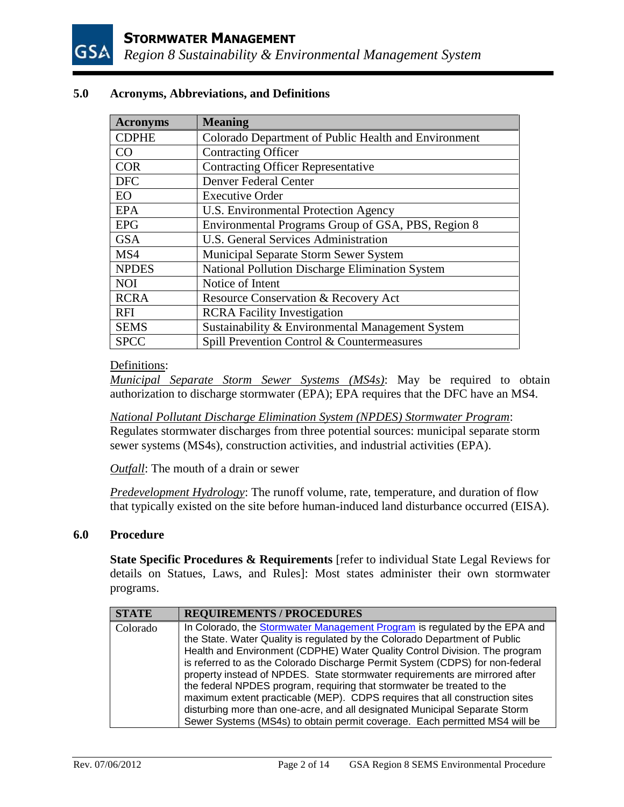

## **5.0 Acronyms, Abbreviations, and Definitions**

| <b>Acronyms</b> | <b>Meaning</b>                                       |
|-----------------|------------------------------------------------------|
| <b>CDPHE</b>    | Colorado Department of Public Health and Environment |
| CO              | <b>Contracting Officer</b>                           |
| <b>COR</b>      | <b>Contracting Officer Representative</b>            |
| <b>DFC</b>      | Denver Federal Center                                |
| EO              | <b>Executive Order</b>                               |
| <b>EPA</b>      | U.S. Environmental Protection Agency                 |
| <b>EPG</b>      | Environmental Programs Group of GSA, PBS, Region 8   |
| <b>GSA</b>      | <b>U.S. General Services Administration</b>          |
| MS4             | Municipal Separate Storm Sewer System                |
| <b>NPDES</b>    | National Pollution Discharge Elimination System      |
| <b>NOI</b>      | Notice of Intent                                     |
| <b>RCRA</b>     | Resource Conservation & Recovery Act                 |
| <b>RFI</b>      | <b>RCRA Facility Investigation</b>                   |
| <b>SEMS</b>     | Sustainability & Environmental Management System     |
| <b>SPCC</b>     | Spill Prevention Control & Countermeasures           |

### Definitions:

*Municipal Separate Storm Sewer Systems (MS4s)*: May be required to obtain authorization to discharge stormwater (EPA); EPA requires that the DFC have an MS4.

*National Pollutant Discharge Elimination System (NPDES) Stormwater Program*: Regulates stormwater discharges from three potential sources: municipal separate storm sewer systems (MS4s), construction activities, and industrial activities (EPA).

*Outfall*: The mouth of a drain or sewer

*Predevelopment Hydrology*: The runoff volume, rate, temperature, and duration of flow that typically existed on the site before human-induced land disturbance occurred (EISA).

#### **6.0 Procedure**

**State Specific Procedures & Requirements** [refer to individual State Legal Reviews for details on Statues, Laws, and Rules]: Most states administer their own stormwater programs.

| <b>STATE</b> | <b>REQUIREMENTS / PROCEDURES</b>                                                                                                                                                                                                                                                                                                                                                                                                                                                                                                                                                                                                                                                                                            |
|--------------|-----------------------------------------------------------------------------------------------------------------------------------------------------------------------------------------------------------------------------------------------------------------------------------------------------------------------------------------------------------------------------------------------------------------------------------------------------------------------------------------------------------------------------------------------------------------------------------------------------------------------------------------------------------------------------------------------------------------------------|
| Colorado     | In Colorado, the Stormwater Management Program is regulated by the EPA and<br>the State. Water Quality is regulated by the Colorado Department of Public<br>Health and Environment (CDPHE) Water Quality Control Division. The program<br>is referred to as the Colorado Discharge Permit System (CDPS) for non-federal<br>property instead of NPDES. State stormwater requirements are mirrored after<br>the federal NPDES program, requiring that stormwater be treated to the<br>maximum extent practicable (MEP). CDPS requires that all construction sites<br>disturbing more than one-acre, and all designated Municipal Separate Storm<br>Sewer Systems (MS4s) to obtain permit coverage. Each permitted MS4 will be |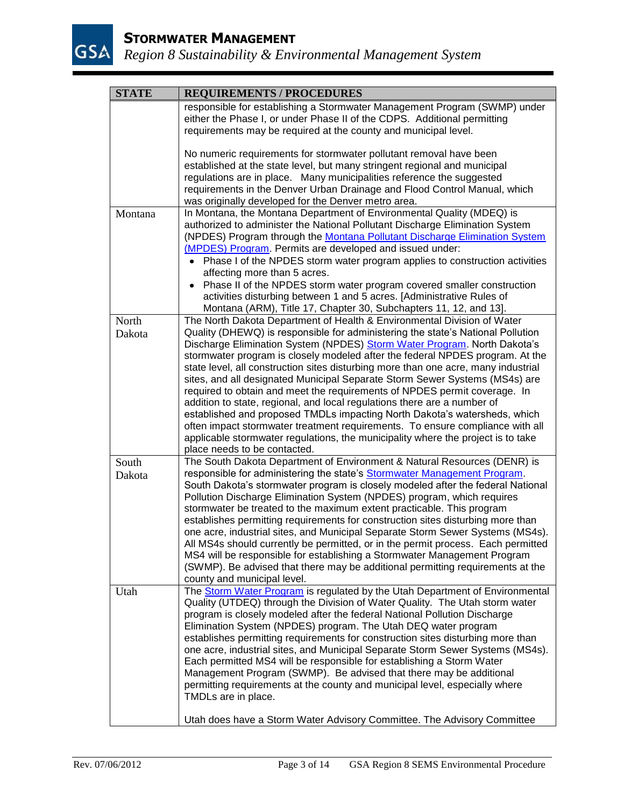

| <b>STATE</b>    | <b>REQUIREMENTS / PROCEDURES</b>                                                                                                                                                                                                                                                                                                                                                                                                                                                                                                                                                                                                                                                                                                                                                                                                                                                                                                        |  |  |
|-----------------|-----------------------------------------------------------------------------------------------------------------------------------------------------------------------------------------------------------------------------------------------------------------------------------------------------------------------------------------------------------------------------------------------------------------------------------------------------------------------------------------------------------------------------------------------------------------------------------------------------------------------------------------------------------------------------------------------------------------------------------------------------------------------------------------------------------------------------------------------------------------------------------------------------------------------------------------|--|--|
|                 | responsible for establishing a Stormwater Management Program (SWMP) under<br>either the Phase I, or under Phase II of the CDPS. Additional permitting<br>requirements may be required at the county and municipal level.                                                                                                                                                                                                                                                                                                                                                                                                                                                                                                                                                                                                                                                                                                                |  |  |
|                 | No numeric requirements for stormwater pollutant removal have been<br>established at the state level, but many stringent regional and municipal<br>regulations are in place. Many municipalities reference the suggested<br>requirements in the Denver Urban Drainage and Flood Control Manual, which<br>was originally developed for the Denver metro area.                                                                                                                                                                                                                                                                                                                                                                                                                                                                                                                                                                            |  |  |
| Montana         | In Montana, the Montana Department of Environmental Quality (MDEQ) is<br>authorized to administer the National Pollutant Discharge Elimination System<br>(NPDES) Program through the Montana Pollutant Discharge Elimination System<br>(MPDES) Program. Permits are developed and issued under:<br>• Phase I of the NPDES storm water program applies to construction activities<br>affecting more than 5 acres.<br>Phase II of the NPDES storm water program covered smaller construction<br>activities disturbing between 1 and 5 acres. [Administrative Rules of<br>Montana (ARM), Title 17, Chapter 30, Subchapters 11, 12, and 13].                                                                                                                                                                                                                                                                                                |  |  |
| North<br>Dakota | The North Dakota Department of Health & Environmental Division of Water<br>Quality (DHEWQ) is responsible for administering the state's National Pollution<br>Discharge Elimination System (NPDES) Storm Water Program. North Dakota's<br>stormwater program is closely modeled after the federal NPDES program. At the<br>state level, all construction sites disturbing more than one acre, many industrial<br>sites, and all designated Municipal Separate Storm Sewer Systems (MS4s) are<br>required to obtain and meet the requirements of NPDES permit coverage. In<br>addition to state, regional, and local regulations there are a number of<br>established and proposed TMDLs impacting North Dakota's watersheds, which<br>often impact stormwater treatment requirements. To ensure compliance with all<br>applicable stormwater regulations, the municipality where the project is to take<br>place needs to be contacted. |  |  |
| South<br>Dakota | The South Dakota Department of Environment & Natural Resources (DENR) is<br>responsible for administering the state's Stormwater Management Program.<br>South Dakota's stormwater program is closely modeled after the federal National<br>Pollution Discharge Elimination System (NPDES) program, which requires<br>stormwater be treated to the maximum extent practicable. This program<br>establishes permitting requirements for construction sites disturbing more than<br>one acre, industrial sites, and Municipal Separate Storm Sewer Systems (MS4s).<br>All MS4s should currently be permitted, or in the permit process. Each permitted<br>MS4 will be responsible for establishing a Stormwater Management Program<br>(SWMP). Be advised that there may be additional permitting requirements at the<br>county and municipal level.                                                                                        |  |  |
| Utah            | The Storm Water Program is regulated by the Utah Department of Environmental<br>Quality (UTDEQ) through the Division of Water Quality. The Utah storm water<br>program is closely modeled after the federal National Pollution Discharge<br>Elimination System (NPDES) program. The Utah DEQ water program<br>establishes permitting requirements for construction sites disturbing more than<br>one acre, industrial sites, and Municipal Separate Storm Sewer Systems (MS4s).<br>Each permitted MS4 will be responsible for establishing a Storm Water<br>Management Program (SWMP). Be advised that there may be additional<br>permitting requirements at the county and municipal level, especially where<br>TMDLs are in place.<br>Utah does have a Storm Water Advisory Committee. The Advisory Committee                                                                                                                         |  |  |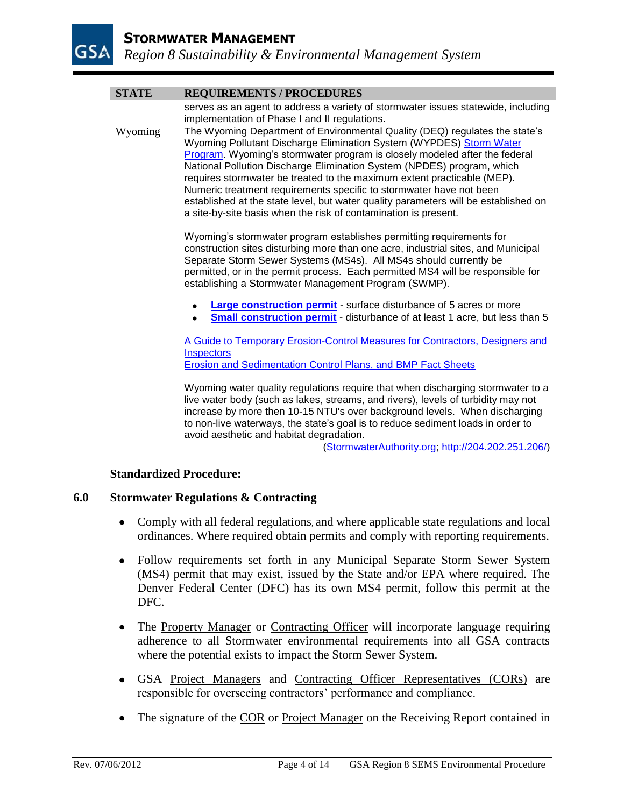

| <b>REQUIREMENTS / PROCEDURES</b><br>serves as an agent to address a variety of stormwater issues statewide, including<br>implementation of Phase I and II regulations.<br>The Wyoming Department of Environmental Quality (DEQ) regulates the state's<br>Wyoming Pollutant Discharge Elimination System (WYPDES) Storm Water<br>Program. Wyoming's stormwater program is closely modeled after the federal                                   |
|----------------------------------------------------------------------------------------------------------------------------------------------------------------------------------------------------------------------------------------------------------------------------------------------------------------------------------------------------------------------------------------------------------------------------------------------|
|                                                                                                                                                                                                                                                                                                                                                                                                                                              |
|                                                                                                                                                                                                                                                                                                                                                                                                                                              |
|                                                                                                                                                                                                                                                                                                                                                                                                                                              |
| National Pollution Discharge Elimination System (NPDES) program, which<br>requires stormwater be treated to the maximum extent practicable (MEP).<br>Numeric treatment requirements specific to stormwater have not been<br>established at the state level, but water quality parameters will be established on<br>a site-by-site basis when the risk of contamination is present.                                                           |
| Wyoming's stormwater program establishes permitting requirements for<br>construction sites disturbing more than one acre, industrial sites, and Municipal<br>Separate Storm Sewer Systems (MS4s). All MS4s should currently be<br>permitted, or in the permit process. Each permitted MS4 will be responsible for<br>establishing a Stormwater Management Program (SWMP).                                                                    |
| <b>Large construction permit</b> - surface disturbance of 5 acres or more<br>Small construction permit - disturbance of at least 1 acre, but less than 5                                                                                                                                                                                                                                                                                     |
| A Guide to Temporary Erosion-Control Measures for Contractors, Designers and<br><b>Inspectors</b>                                                                                                                                                                                                                                                                                                                                            |
| <b>Erosion and Sedimentation Control Plans, and BMP Fact Sheets</b>                                                                                                                                                                                                                                                                                                                                                                          |
| Wyoming water quality regulations require that when discharging stormwater to a<br>live water body (such as lakes, streams, and rivers), levels of turbidity may not<br>increase by more then 10-15 NTU's over background levels. When discharging<br>to non-live waterways, the state's goal is to reduce sediment loads in order to<br>avoid aesthetic and habitat degradation.<br>$(Channon, path, thewith conv, http://004,000,004,000)$ |
|                                                                                                                                                                                                                                                                                                                                                                                                                                              |

[\(StormwaterAuthority.org;](http://www.stormwaterauthority.org/regulatory_data/state.aspx?id=173) [http://204.202.251.206/\)](http://204.202.251.206/)

# **Standardized Procedure:**

#### **6.0 Stormwater Regulations & Contracting**

- Comply with all federal regulations, and where applicable state regulations and local ordinances. Where required obtain permits and comply with reporting requirements.
- Follow requirements set forth in any Municipal Separate Storm Sewer System (MS4) permit that may exist, issued by the State and/or EPA where required. The Denver Federal Center (DFC) has its own MS4 permit, follow this permit at the DFC.
- The Property Manager or Contracting Officer will incorporate language requiring adherence to all Stormwater environmental requirements into all GSA contracts where the potential exists to impact the Storm Sewer System.
- GSA Project Managers and Contracting Officer Representatives (CORs) are responsible for overseeing contractors' performance and compliance.
- The signature of the COR or Project Manager on the Receiving Report contained in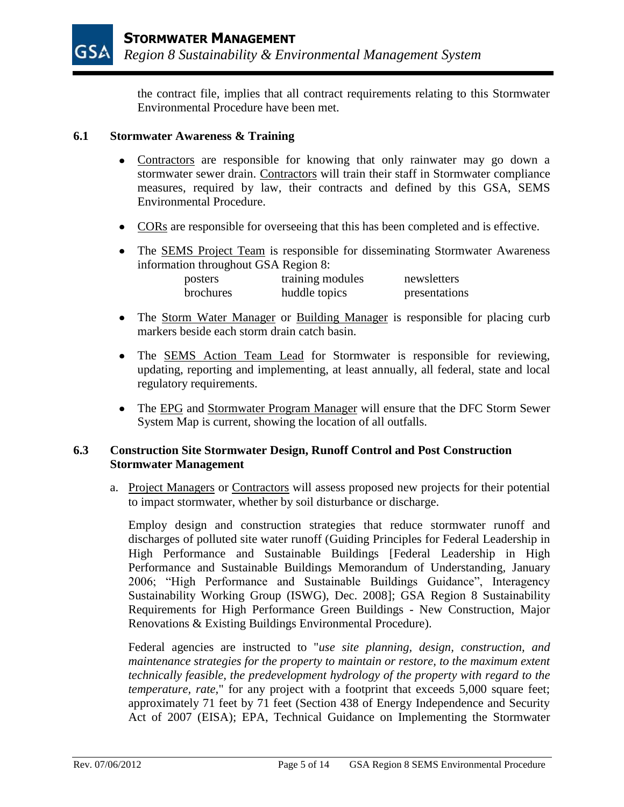the contract file, implies that all contract requirements relating to this Stormwater Environmental Procedure have been met.

# **6.1 Stormwater Awareness & Training**

- Contractors are responsible for knowing that only rainwater may go down a stormwater sewer drain. Contractors will train their staff in Stormwater compliance measures, required by law, their contracts and defined by this GSA, SEMS Environmental Procedure.
- CORs are responsible for overseeing that this has been completed and is effective.
- The SEMS Project Team is responsible for disseminating Stormwater Awareness information throughout GSA Region 8:

| posters          | training modules | newsletters   |
|------------------|------------------|---------------|
| <b>brochures</b> | huddle topics    | presentations |

- The Storm Water Manager or Building Manager is responsible for placing curb markers beside each storm drain catch basin.
- The SEMS Action Team Lead for Stormwater is responsible for reviewing, updating, reporting and implementing, at least annually, all federal, state and local regulatory requirements.
- The EPG and Stormwater Program Manager will ensure that the DFC Storm Sewer System Map is current, showing the location of all outfalls.

# **6.3 Construction Site Stormwater Design, Runoff Control and Post Construction Stormwater Management**

a. Project Managers or Contractors will assess proposed new projects for their potential to impact stormwater, whether by soil disturbance or discharge.

Employ design and construction strategies that reduce stormwater runoff and discharges of polluted site water runoff (Guiding Principles for Federal Leadership in High Performance and Sustainable Buildings [Federal Leadership in High Performance and Sustainable Buildings Memorandum of Understanding, January 2006; "High Performance and Sustainable Buildings Guidance", Interagency Sustainability Working Group (ISWG), Dec. 2008]; GSA Region 8 Sustainability Requirements for High Performance Green Buildings - New Construction, Major Renovations & Existing Buildings Environmental Procedure).

Federal agencies are instructed to "*use site planning, design, construction, and maintenance strategies for the property to maintain or restore, to the maximum extent technically feasible, the predevelopment hydrology of the property with regard to the temperature, rate*," for any project with a footprint that exceeds 5,000 square feet; approximately 71 feet by 71 feet (Section 438 of Energy Independence and Security Act of 2007 (EISA); EPA, Technical Guidance on Implementing the Stormwater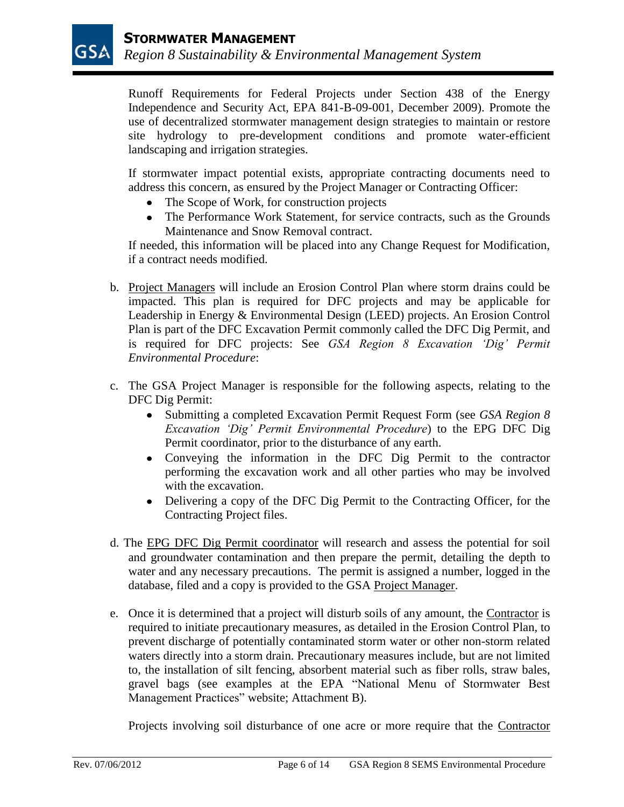Runoff Requirements for Federal Projects under Section 438 of the Energy Independence and Security Act, EPA 841-B-09-001, December 2009). Promote the use of decentralized stormwater management design strategies to maintain or restore site hydrology to pre-development conditions and promote water-efficient landscaping and irrigation strategies.

If stormwater impact potential exists, appropriate contracting documents need to address this concern, as ensured by the Project Manager or Contracting Officer:

- The Scope of Work, for construction projects
- The Performance Work Statement, for service contracts, such as the Grounds Maintenance and Snow Removal contract.

If needed, this information will be placed into any Change Request for Modification, if a contract needs modified.

- b. Project Managers will include an Erosion Control Plan where storm drains could be impacted. This plan is required for DFC projects and may be applicable for Leadership in Energy & Environmental Design (LEED) projects. An Erosion Control Plan is part of the DFC Excavation Permit commonly called the DFC Dig Permit, and is required for DFC projects: See *GSA Region 8 Excavation 'Dig' Permit Environmental Procedure*:
- c. The GSA Project Manager is responsible for the following aspects, relating to the DFC Dig Permit:
	- Submitting a completed Excavation Permit Request Form (see *GSA Region 8 Excavation 'Dig' Permit Environmental Procedure*) to the EPG DFC Dig Permit coordinator, prior to the disturbance of any earth.
	- Conveying the information in the DFC Dig Permit to the contractor performing the excavation work and all other parties who may be involved with the excavation.
	- Delivering a copy of the DFC Dig Permit to the Contracting Officer, for the Contracting Project files.
- d. The EPG DFC Dig Permit coordinator will research and assess the potential for soil and groundwater contamination and then prepare the permit, detailing the depth to water and any necessary precautions. The permit is assigned a number, logged in the database, filed and a copy is provided to the GSA Project Manager.
- e. Once it is determined that a project will disturb soils of any amount, the Contractor is required to initiate precautionary measures, as detailed in the Erosion Control Plan, to prevent discharge of potentially contaminated storm water or other non-storm related waters directly into a storm drain. Precautionary measures include, but are not limited to, the installation of silt fencing, absorbent material such as fiber rolls, straw bales, gravel bags (see examples at the EPA "National Menu of Stormwater Best Management Practices" website; Attachment B).

Projects involving soil disturbance of one acre or more require that the Contractor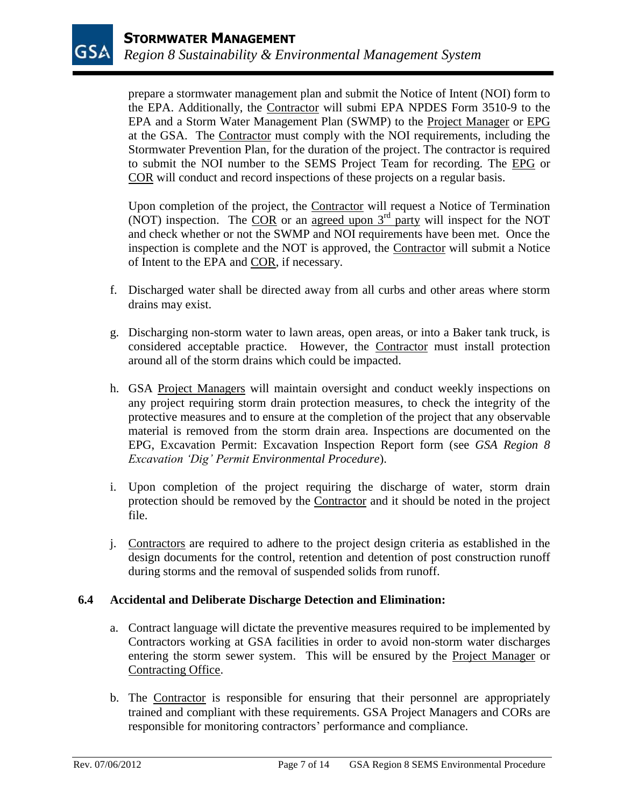prepare a stormwater management plan and submit the Notice of Intent (NOI) form to the EPA. Additionally, the Contractor will submi EPA NPDES Form 3510-9 to the EPA and a Storm Water Management Plan (SWMP) to the Project Manager or EPG at the GSA. The Contractor must comply with the NOI requirements, including the Stormwater Prevention Plan, for the duration of the project. The contractor is required to submit the NOI number to the SEMS Project Team for recording. The EPG or COR will conduct and record inspections of these projects on a regular basis.

Upon completion of the project, the Contractor will request a Notice of Termination (NOT) inspection. The COR or an agreed upon  $3<sup>rd</sup>$  party will inspect for the NOT and check whether or not the SWMP and NOI requirements have been met. Once the inspection is complete and the NOT is approved, the Contractor will submit a Notice of Intent to the EPA and COR, if necessary.

- f. Discharged water shall be directed away from all curbs and other areas where storm drains may exist.
- g. Discharging non-storm water to lawn areas, open areas, or into a Baker tank truck, is considered acceptable practice. However, the Contractor must install protection around all of the storm drains which could be impacted.
- h. GSA Project Managers will maintain oversight and conduct weekly inspections on any project requiring storm drain protection measures, to check the integrity of the protective measures and to ensure at the completion of the project that any observable material is removed from the storm drain area. Inspections are documented on the EPG, Excavation Permit: Excavation Inspection Report form (see *GSA Region 8 Excavation 'Dig' Permit Environmental Procedure*).
- i. Upon completion of the project requiring the discharge of water, storm drain protection should be removed by the Contractor and it should be noted in the project file.
- j. Contractors are required to adhere to the project design criteria as established in the design documents for the control, retention and detention of post construction runoff during storms and the removal of suspended solids from runoff.

# **6.4 Accidental and Deliberate Discharge Detection and Elimination:**

- a. Contract language will dictate the preventive measures required to be implemented by Contractors working at GSA facilities in order to avoid non-storm water discharges entering the storm sewer system. This will be ensured by the Project Manager or Contracting Office.
- b. The Contractor is responsible for ensuring that their personnel are appropriately trained and compliant with these requirements. GSA Project Managers and CORs are responsible for monitoring contractors' performance and compliance.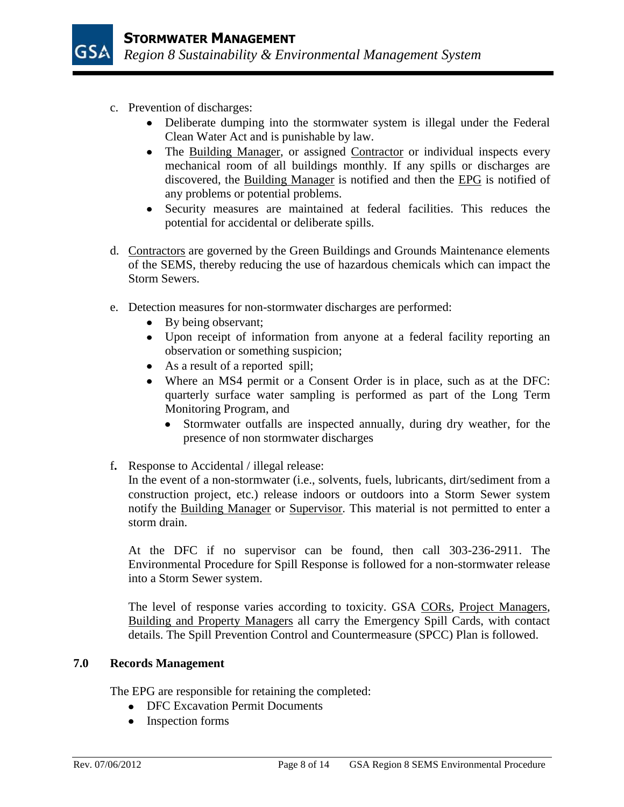- c. Prevention of discharges:
	- Deliberate dumping into the stormwater system is illegal under the Federal Clean Water Act and is punishable by law.
	- The Building Manager, or assigned Contractor or individual inspects every mechanical room of all buildings monthly. If any spills or discharges are discovered, the Building Manager is notified and then the EPG is notified of any problems or potential problems.
	- Security measures are maintained at federal facilities. This reduces the  $\bullet$ potential for accidental or deliberate spills.
- d. Contractors are governed by the Green Buildings and Grounds Maintenance elements of the SEMS, thereby reducing the use of hazardous chemicals which can impact the Storm Sewers.
- e. Detection measures for non-stormwater discharges are performed:
	- By being observant;
	- Upon receipt of information from anyone at a federal facility reporting an observation or something suspicion;
	- As a result of a reported spill;
	- $\bullet$ Where an MS4 permit or a Consent Order is in place, such as at the DFC: quarterly surface water sampling is performed as part of the Long Term Monitoring Program, and
		- Stormwater outfalls are inspected annually, during dry weather, for the presence of non stormwater discharges
- f**.** Response to Accidental / illegal release:

In the event of a non-stormwater (i.e., solvents, fuels, lubricants, dirt/sediment from a construction project, etc.) release indoors or outdoors into a Storm Sewer system notify the Building Manager or Supervisor. This material is not permitted to enter a storm drain.

At the DFC if no supervisor can be found, then call 303-236-2911. The Environmental Procedure for Spill Response is followed for a non-stormwater release into a Storm Sewer system.

The level of response varies according to toxicity. GSA CORs, Project Managers, Building and Property Managers all carry the Emergency Spill Cards, with contact details. The Spill Prevention Control and Countermeasure (SPCC) Plan is followed.

# **7.0 Records Management**

The EPG are responsible for retaining the completed:

- DFC Excavation Permit Documents
- Inspection forms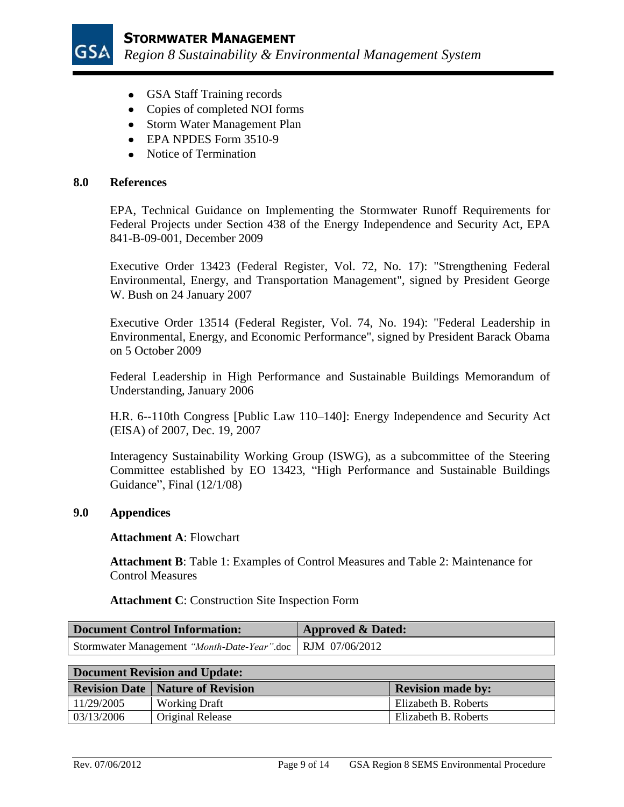

- GSA Staff Training records
- Copies of completed NOI forms
- Storm Water Management Plan
- EPA NPDES Form 3510-9
- Notice of Termination

### **8.0 References**

EPA, Technical Guidance on Implementing the Stormwater Runoff Requirements for Federal Projects under Section 438 of the Energy Independence and Security Act, EPA 841-B-09-001, December 2009

Executive Order 13423 (Federal Register, Vol. 72, No. 17): "Strengthening Federal Environmental, Energy, and Transportation Management", signed by President George W. Bush on 24 January 2007

Executive Order 13514 (Federal Register, Vol. 74, No. 194): "Federal Leadership in Environmental, Energy, and Economic Performance", signed by President Barack Obama on 5 October 2009

Federal Leadership in High Performance and Sustainable Buildings Memorandum of Understanding, January 2006

H.R. 6--110th Congress [Public Law 110–140]: Energy Independence and Security Act (EISA) of 2007, Dec. 19, 2007

Interagency Sustainability Working Group (ISWG), as a subcommittee of the Steering Committee established by EO 13423, "High Performance and Sustainable Buildings Guidance", Final (12/1/08)

# **9.0 Appendices**

#### **Attachment A**: Flowchart

**Attachment B**: Table 1: Examples of Control Measures and Table 2: Maintenance for Control Measures

**Attachment C**: Construction Site Inspection Form

| Document Control Information:                                | <b>Approved &amp; Dated:</b> |  |
|--------------------------------------------------------------|------------------------------|--|
| Stormwater Management "Month-Date-Year".doc   RJM 07/06/2012 |                              |  |

| <b>Document Revision and Update:</b> |                                           |                          |
|--------------------------------------|-------------------------------------------|--------------------------|
|                                      | <b>Revision Date   Nature of Revision</b> | <b>Revision made by:</b> |
| 11/29/2005                           | <b>Working Draft</b>                      | Elizabeth B. Roberts     |
| 03/13/2006                           | Original Release                          | Elizabeth B. Roberts     |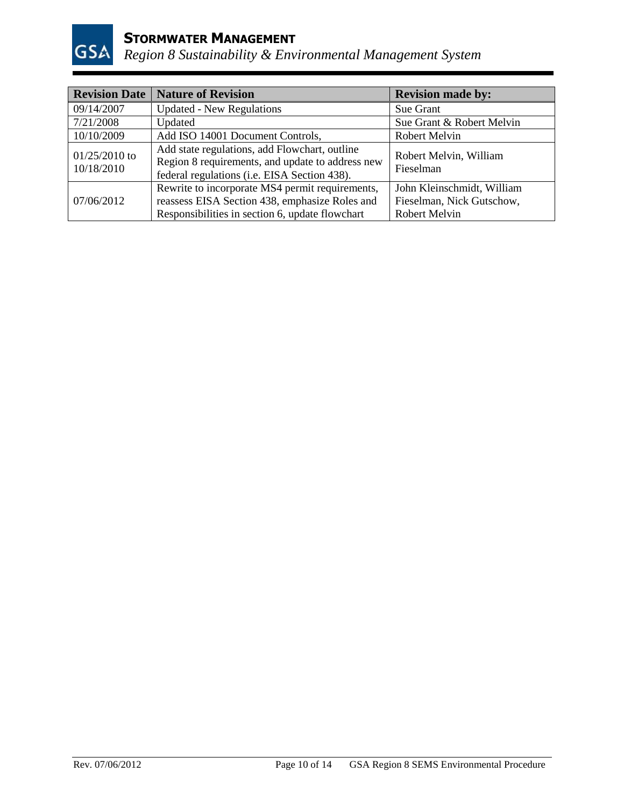

# **STORMWATER MANAGEMENT**

*Region 8 Sustainability & Environmental Management System*

| <b>Revision Date</b>          | <b>Nature of Revision</b>                                                                                                                            | <b>Revision made by:</b>                                                        |
|-------------------------------|------------------------------------------------------------------------------------------------------------------------------------------------------|---------------------------------------------------------------------------------|
| 09/14/2007                    | <b>Updated - New Regulations</b>                                                                                                                     | Sue Grant                                                                       |
| 7/21/2008                     | Updated                                                                                                                                              | Sue Grant & Robert Melvin                                                       |
| 10/10/2009                    | Add ISO 14001 Document Controls,                                                                                                                     | <b>Robert Melvin</b>                                                            |
| $01/25/2010$ to<br>10/18/2010 | Add state regulations, add Flowchart, outline<br>Region 8 requirements, and update to address new<br>federal regulations (i.e. EISA Section 438).    | Robert Melvin, William<br>Fieselman                                             |
| 07/06/2012                    | Rewrite to incorporate MS4 permit requirements,<br>reassess EISA Section 438, emphasize Roles and<br>Responsibilities in section 6, update flowchart | John Kleinschmidt, William<br>Fieselman, Nick Gutschow,<br><b>Robert Melvin</b> |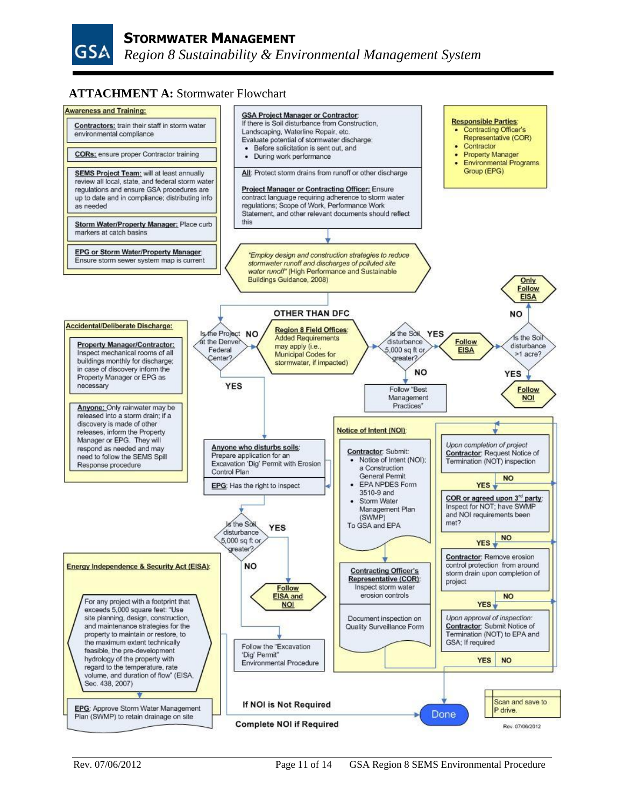

# **ATTACHMENT A:** Stormwater Flowchart

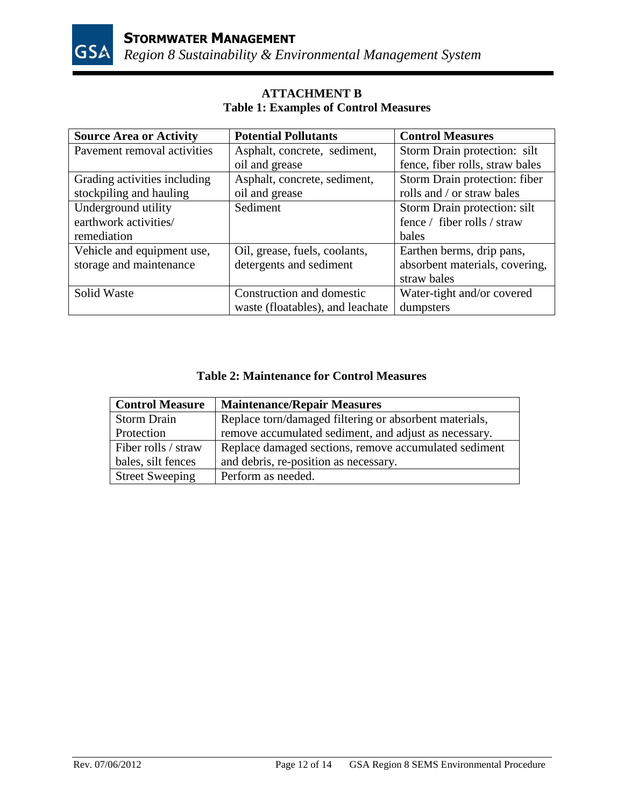

| <b>Source Area or Activity</b> | <b>Potential Pollutants</b>      | <b>Control Measures</b>         |
|--------------------------------|----------------------------------|---------------------------------|
| Pavement removal activities    | Asphalt, concrete, sediment,     | Storm Drain protection: silt    |
|                                | oil and grease                   | fence, fiber rolls, straw bales |
| Grading activities including   | Asphalt, concrete, sediment,     | Storm Drain protection: fiber   |
| stockpiling and hauling        | oil and grease                   | rolls and / or straw bales      |
| Underground utility            | Sediment                         | Storm Drain protection: silt    |
| earthwork activities/          |                                  | fence / fiber rolls / straw     |
| remediation                    |                                  | bales                           |
| Vehicle and equipment use,     | Oil, grease, fuels, coolants,    | Earthen berms, drip pans,       |
| storage and maintenance        | detergents and sediment          | absorbent materials, covering,  |
|                                |                                  | straw bales                     |
| Solid Waste                    | Construction and domestic        | Water-tight and/or covered      |
|                                | waste (floatables), and leachate | dumpsters                       |

# **ATTACHMENT B Table 1: Examples of Control Measures**

# **Table 2: Maintenance for Control Measures**

| <b>Control Measure</b> | <b>Maintenance/Repair Measures</b>                     |
|------------------------|--------------------------------------------------------|
| <b>Storm Drain</b>     | Replace torn/damaged filtering or absorbent materials, |
| Protection             | remove accumulated sediment, and adjust as necessary.  |
| Fiber rolls / straw    | Replace damaged sections, remove accumulated sediment  |
| bales, silt fences     | and debris, re-position as necessary.                  |
| <b>Street Sweeping</b> | Perform as needed.                                     |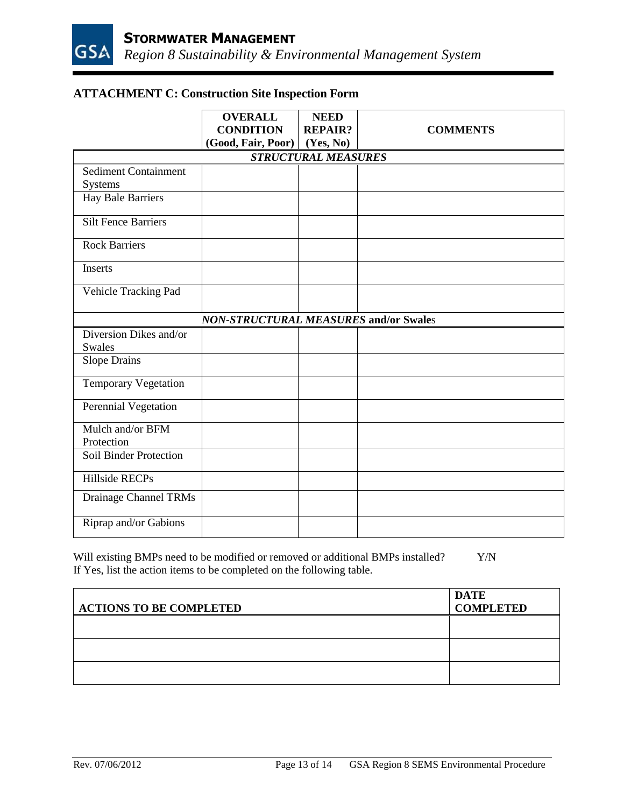# **ATTACHMENT C: Construction Site Inspection Form**

|                             | <b>OVERALL</b><br><b>CONDITION</b>           | <b>NEED</b><br><b>REPAIR?</b> | <b>COMMENTS</b> |
|-----------------------------|----------------------------------------------|-------------------------------|-----------------|
|                             | (Good, Fair, Poor) (Yes, No)                 |                               |                 |
|                             |                                              | <b>STRUCTURAL MEASURES</b>    |                 |
| <b>Sediment Containment</b> |                                              |                               |                 |
| Systems                     |                                              |                               |                 |
| Hay Bale Barriers           |                                              |                               |                 |
| <b>Silt Fence Barriers</b>  |                                              |                               |                 |
| <b>Rock Barriers</b>        |                                              |                               |                 |
| Inserts                     |                                              |                               |                 |
| Vehicle Tracking Pad        |                                              |                               |                 |
|                             | <b>NON-STRUCTURAL MEASURES and/or Swales</b> |                               |                 |
| Diversion Dikes and/or      |                                              |                               |                 |
| Swales                      |                                              |                               |                 |
| <b>Slope Drains</b>         |                                              |                               |                 |
| <b>Temporary Vegetation</b> |                                              |                               |                 |
| Perennial Vegetation        |                                              |                               |                 |
| Mulch and/or BFM            |                                              |                               |                 |
| Protection                  |                                              |                               |                 |
| Soil Binder Protection      |                                              |                               |                 |
| <b>Hillside RECPs</b>       |                                              |                               |                 |
| Drainage Channel TRMs       |                                              |                               |                 |
| Riprap and/or Gabions       |                                              |                               |                 |

Will existing BMPs need to be modified or removed or additional BMPs installed? Y/N If Yes, list the action items to be completed on the following table.

| <b>ACTIONS TO BE COMPLETED</b> | <b>DATE</b><br><b>COMPLETED</b> |
|--------------------------------|---------------------------------|
|                                |                                 |
|                                |                                 |
|                                |                                 |